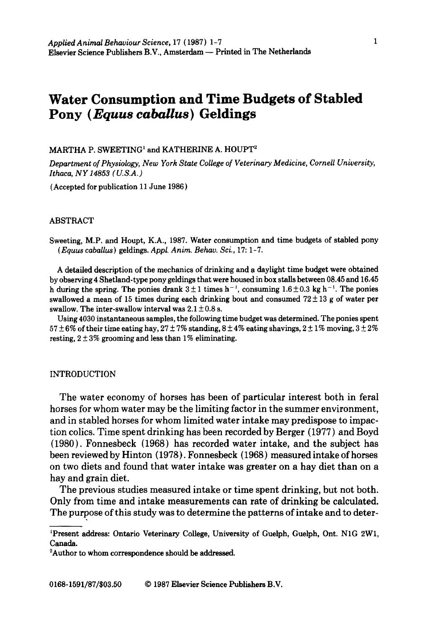# **Water Consumption and Time Budgets of Stabled Pony (Equus** *cabaUus)* **Geldings**

## MARTHA P. SWEETING<sup>1</sup> and KATHERINE A. HOUPT<sup>2</sup>

*Department of Physiology, New York State College of Veterinary Medicine, CorneU University, Ithaca, NY 14853 (U.S.A.)* 

(Accepted for publication 11 June 1986 )

# ABSTRACT

Sweeting, M.P. and Houpt, K.A., 1987. Water consumption and time budgets of stabled pony *( Equus caballus )* geldings. *Appl. Anita. Behav. Sci.,* 17: 1-7.

A detailed description of the mechanics of drinking and a daylight time budget were obtained by observing 4 Shetland-type pony geldings that were housed in box stalls between 08.45 and 16.45 h during the spring. The ponies drank  $3 \pm 1$  times h<sup>-1</sup>, consuming  $1.6 \pm 0.3$  kg h<sup>-1</sup>. The ponies swallowed a mean of 15 times during each drinking bout and consumed  $72 \pm 13$  g of water per swallow. The inter-swallow interval was  $2.1 \pm 0.8$  s.

Using 4030 instantaneous samples, the following time budget was determined. The ponies spent  $57 \pm 6\%$  of their time eating hay,  $27 \pm 7\%$  standing,  $8 \pm 4\%$  eating shavings,  $2 \pm 1\%$  moving,  $3 \pm 2\%$ resting,  $2 \pm 3\%$  grooming and less than 1% eliminating.

# INTRODUCTION

The water economy of horses has been of particular interest both in feral horses for whom water may be the limiting factor in the summer environment, and in stabled horses for whom limited water intake may predispose to impaction colics. Time spent drinking has been recorded by Berger (1977) and Boyd (1980). Fonnesbeck (1968) has recorded water intake, and the subject has been reviewed by Hinton (1978). Fonnesbeck (1968) measured intake of horses on two diets and found that water intake was greater on a hay diet than on a hay and grain diet.

The previous studies measured intake or time spent drinking, but not both. Only from time and intake measurements can rate of drinking be calculated. The purpose of this study was to determine the patterns of intake and to deter-

<sup>&</sup>lt;sup>1</sup>Present address: Ontario Veterinary College, University of Guelph, Guelph, Ont. N1G 2W1, Canada.

<sup>2</sup>Author to whom correspondence should be addressed.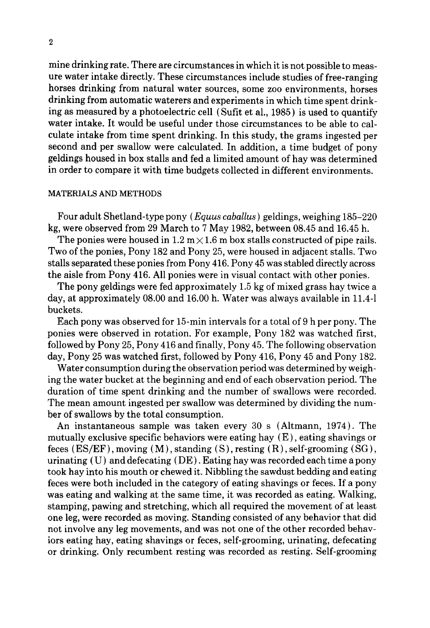mine drinking rate. There are circumstances in which it is not possible to measure water intake directly. These circumstances include studies of free-ranging horses drinking from natural water sources, some zoo environments, horses drinking from automatic waterers and experiments in which time spent drinking as measured by a photoelectric cell { Sufit et al., 1985) is used to quantify water intake. It would be useful under those circumstances to be able to calculate intake from time spent drinking. In this study, the grams ingested per second and per swallow were calculated. In addition, a time budget of pony geldings housed in box stalls and fed a limited amount of hay was determined in order to compare it with time budgets collected in different environments.

## MATERIALS AND METHODS

Four adult Shetland-type pony (Equus *caballus)* geldings, weighing 185-220 kg, were observed from 29 March to 7 May 1982, between 08.45 and 16.45 h.

The ponies were housed in  $1.2 \text{ m} \times 1.6 \text{ m}$  box stalls constructed of pipe rails. Two of the ponies, Pony 182 and Pony 25, were housed in adjacent stalls. Two stalls separated these ponies from Pony 416. Pony 45 was stabled directly across the aisle from Pony 416. All ponies were in visual contact with other ponies.

The pony geldings were fed approximately 1.5 kg of mixed grass hay twice a day, at approximately 08.00 and 16.00 h. Water was always available in 11.4-1 buckets.

Each pony was observed for 15-min intervals for a total of 9 h per pony. The ponies were observed in rotation. For example, Pony 182 was watched first, followed by Pony 25, Pony 416 and finally, Pony 45. The following observation day, Pony 25 was watched first, followed by Pony 416, Pony 45 and Pony 182.

Water consumption during the observation period was determined by weighing the water bucket at the beginning and end of each observation period. The duration of time spent drinking and the number of swallows were recorded. The mean amount ingested per swallow was determined by dividing the number of swallows by the total consumption.

An instantaneous sample was taken every 30 s (Altmann, 1974). The mutually exclusive specific behaviors were eating hay (E), eating shavings or feces  $(ES/EF)$ , moving  $(M)$ , standing  $(S)$ , resting  $(R)$ , self-grooming  $(SG)$ , urinating (U) and defecating (DE). Eating hay was recorded each time a pony took hay into his mouth or chewed it. Nibbling the sawdust bedding and eating feces were both included in the category of eating shavings or feces. If a pony was eating and walking at the same time, it was recorded as eating. Walking, stamping, pawing and stretching, which all required the movement of at least one leg, were recorded as moving. Standing consisted of any behavior that did not involve any leg movements, and was not one of the other recorded behaviors eating hay, eating shavings or feces, self-grooming, urinating, defecating or drinking. Only recumbent resting was recorded as resting. Self-grooming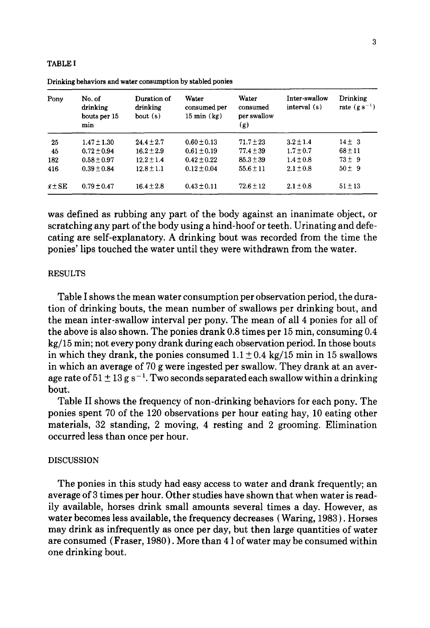### TABLE I

| Pony           | No. of<br>drinking<br>bouts per 15<br>min | Duration of<br>drinking<br>bout(s) | Water<br>consumed per<br>$15 \text{ min}$ (kg) | Water<br>consumed<br>per swallow<br>(g) | Inter-swallow<br>interval (s) | Drinking<br>rate $(g s^{-1})$ |  |
|----------------|-------------------------------------------|------------------------------------|------------------------------------------------|-----------------------------------------|-------------------------------|-------------------------------|--|
| 25             | $1.47 \pm 1.30$                           | $24.4 + 2.7$                       | $0.60 \pm 0.13$                                | $71.7 \pm 23$                           | $3.2 \pm 1.4$                 | $14 \pm 3$                    |  |
| 45             | $0.72 \pm 0.94$                           | $16.2 + 2.9$                       | $0.61 \pm 0.19$                                | $77.4 + 39$                             | $1.7 \pm 0.7$                 | $68 + 11$                     |  |
| 182            | $0.58 \pm 0.97$                           | $12.2 + 1.4$                       | $0.42 \pm 0.22$                                | $85.3 \pm 39$                           | $1.4 + 0.8$                   | $73 + 9$                      |  |
| 416            | $0.39 + 0.84$                             | $12.8 \pm 1.1$                     | $0.12 \pm 0.04$                                | $55.6 \pm 11$                           | $2.1 + 0.8$                   | $50 \pm 9$                    |  |
| $\bar{x}$ ± SE | $0.79 \pm 0.47$                           | $16.4 \pm 2.8$                     | $0.43 \pm 0.11$                                | $72.6 \pm 12$                           | $2.1 \pm 0.8$                 | $51 \pm 13$                   |  |

Drinking behaviors and **water consumption** by stabled **ponies** 

was defined as rubbing any part of the body against an inanimate object, or scratching any part of the body using a hind-hoof or teeth. Urinating and defecating are self-explanatory. A drinking bout was recorded from the time the ponies' lips touched the water until they were withdrawn from the water.

#### RESULTS

Table I shows the mean water consumption per observation period, the duration of drinking bouts, the mean number of swallows per drinking bout, and the mean inter-swallow interval per pony. The mean of all 4 ponies for all of the above is also shown. The ponies drank 0.8 times per 15 min, consuming 0.4 kg/15 min; not every pony drank during each observation period. In those bouts in which they drank, the ponies consumed  $1.1 \pm 0.4$  kg/15 min in 15 swallows in which an average of 70 g were ingested per swallow. They drank at an average rate of  $51 \pm 13$  g s<sup>-1</sup>. Two seconds separated each swallow within a drinking bout.

Table II shows the frequency of non-drinking behaviors for each pony. The ponies spent 70 of the 120 observations per hour eating hay, 10 eating other materials, 32 standing, 2 moving, 4 resting and 2 grooming. Elimination occurred less than once per hour.

### **DISCUSSION**

The ponies in this study had easy access to water and drank frequently; an average of 3 times per hour. Other studies have shown that when water is readily available, horses drink small amounts several times a day. However, as water becomes less available, the frequency decreases (Waring, 1983 ). Horses may drink as infrequently as once per day, but then large quantities of water are consumed (Fraser, 1980). More than 4 1 of water may be consumed within one drinking bout.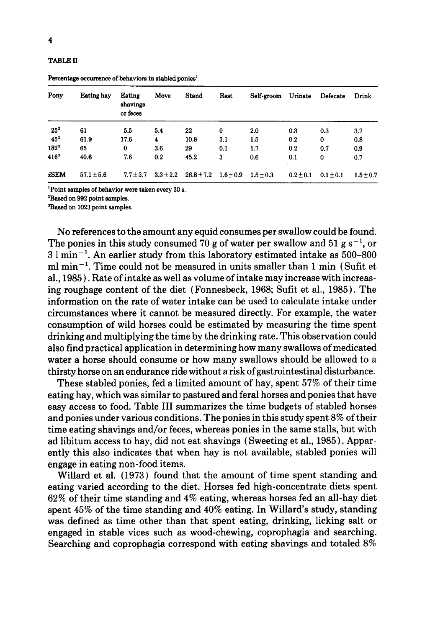TABLE II

| Pony            | <b>Eating hay</b> | Eating<br>shavings<br>or feces | Move          | <b>Stand</b>   | Rest          | Self-groom    | Urinate       | Defecate      | Drink       |
|-----------------|-------------------|--------------------------------|---------------|----------------|---------------|---------------|---------------|---------------|-------------|
| 25 <sup>2</sup> | 61                | 5.5                            | 5.4           | 22             | 0             | 2.0           | 0.3           | 0.3           | 3.7         |
| $45^2$          | 61.9              | 17.6                           | 4             | 10.8           | 3.1           | 1.5           | 0.2           | 0             | 0.8         |
| $182^{3}$       | 65                | 0                              | 3.6           | 29             | 0.1           | 1.7           | 0.2           | 0.7           | 0.9         |
| $416^{3}$       | 40.6              | 7.6                            | 0.2           | 45.2           | 3             | 0.6           | 0.1           | $\bf{0}$      | 0.7         |
| xSEM            | $57.1 \pm 5.6$    | $7.7 \pm 3.7$                  | $3.3 \pm 2.2$ | $26.8 \pm 7.2$ | $1.6 \pm 0.9$ | $1.5 \pm 0.3$ | $0.2 \pm 0.1$ | $0.1 \pm 0.1$ | $1.5 + 0.7$ |

Percentage occurrence of behaviors in stabled ponies<sup>1</sup>

~Point **samples of behavior were taken every** 30 s.

2Based on 992 **point samples.** 

3Based on 1023 point **samples.** 

No references to the amount any equid consumes per swallow could be found. The ponies in this study consumed 70 g of water per swallow and 51 g s<sup>-1</sup>, or  $3 \text{ l min}^{-1}$ . An earlier study from this laboratory estimated intake as 500–800 ml  $\min^{-1}$ . Time could not be measured in units smaller than 1 min (Sufit et al., 1985). Rate of intake as well as volume of intake may increase with increasing roughage content of the diet (Fonnesbeck, 1968; Sufit et al., 1985). The information on the rate of water intake can be used to calculate intake under circumstances where it cannot be measured directly. For example, the water consumption of wild horses could be estimated by measuring the time spent drinking and multiplying the time by the drinking rate. This observation could also find practical application in determining how many swallows of medicated water a horse should consume or how many swallows should be allowed to a thirsty horse on an endurance ride without a risk of gastrointestinal disturbance.

These stabled ponies, fed a limited amount of hay, spent 57% of their time eating hay, which was similar to pastured and feral horses and ponies that have easy access to food. Table III summarizes the time budgets of stabled horses and ponies under various conditions. The ponies in this study spent 8% of their time eating shavings and/or feces, whereas ponies in the same stalls, but with ad libitum access to hay, did not eat shavings ( Sweeting et al., 1985 ). Apparently this also indicates that when hay is not available, stabled ponies will engage in eating non-food items.

Willard et al. (1973) found that the amount of time spent standing and eating varied according to the diet. Horses fed high-concentrate diets spent 62% of their time standing and 4% eating, whereas horses fed an all-hay diet spent 45% of the time standing and 40% eating. In Willard's study, standing was defined as time other than that spent eating, drinking, licking salt or engaged in stable vices such as wood-chewing, coprophagia and searching. Searching and coprophagia correspond with eating shavings and totaled 8%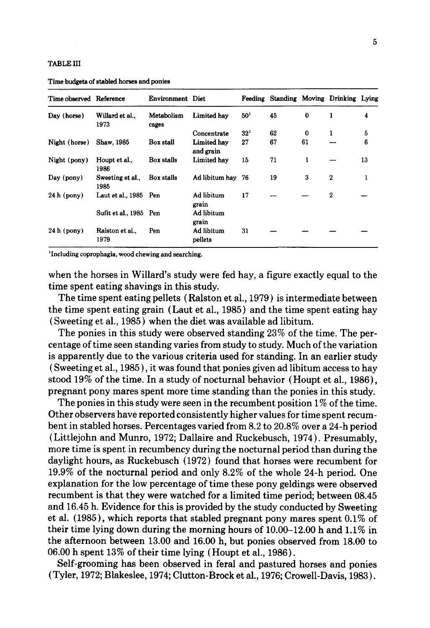#### TABLE III

| Time observed Reference |                          | Environment Diet    |                          |                 | Feeding Standing Moving Drinking Lying |          |                  |    |
|-------------------------|--------------------------|---------------------|--------------------------|-----------------|----------------------------------------|----------|------------------|----|
| Day (horse)             | Willard et al.,<br>1973  | Metabolism<br>cages | Limited hav              | 50 <sup>1</sup> | 45                                     | $\bf{0}$ | 1                | 4  |
|                         |                          |                     | Concentrate              | 32 <sup>1</sup> | 62                                     | 0        | 1                | 5  |
| Night (horse)           | Shaw, 1985               | Box stall           | Limited hav<br>and grain | 27              | 67                                     | 61       |                  | 6  |
| Night (pony)            | Houpt et al.,<br>1986    | Box stalls          | Limited hav              | 15              | 71                                     | 1        |                  | 13 |
| Day (pony)              | Sweeting et al.,<br>1985 | Box stalls          | Ad libitum hay 76        |                 | 19                                     | 3        | $\boldsymbol{2}$ | 1  |
| $24h$ (pony)            | Laut et al., 1985 Pen    |                     | Ad libitum<br>grain      | 17              |                                        |          | 2                |    |
|                         | Sufit et al., 1985 Pen   |                     | Ad libitum<br>grain      |                 |                                        |          |                  |    |
| $24h$ (pony)            | Ralston et al<br>1979    | Pen                 | Ad libitum<br>pellets    | 31              |                                        |          |                  |    |

Time budgets of stabled **horses and** ponies

<sup>1</sup>Including coprophagia, wood chewing and searching.

when the horses in Willard's study were fed hay, a figure exactly equal to the time spent eating shavings in this study.

The time spent eating pellets (Ralston et al., 1979) is intermediate between the time spent eating grain (Laut et al., 1985) and the time spent eating hay ( Sweeting et al., 1985 ) when the diet was available ad libitum.

The ponies in this study were observed standing 23% of the time. The percentage of time seen standing varies from study to study. Much of the variation is apparently due to the various criteria used for standing. In an earlier study ( Sweeting et al., 1985 ), it was found that ponies given ad libitum access to hay stood 19% of the time. In a study of nocturnal behavior (Houpt et al., 1986), pregnant pony mares spent more time standing than the ponies in this study.

The ponies in this study were seen in the recumbent position 1% of the time. Other observers have reported consistently higher values for time spent recumbent in stabled horses. Percentages varied from 8.2 to 20.8% over a 24-h period (Littlejohn and Munro, 1972; Dallaire and Ruckebusch, 1974). Presumably, more time is spent in recumbency during the nocturnal period than during the daylight hours, as Ruckebusch {1972) found that horses were recumbent for 19.9% of the nocturnal period and only 8.2% of the whole 24-h period. One explanation for the low percentage of time these pony geldings were observed recumbent is that they were watched for a limited time period; between 08.45 and 16.45 h. Evidence for this is provided by the study conducted by Sweeting et al. (1985), which reports that stabled pregnant pony mares spent 0.1% of their time lying down during the morning hours of 10.00-12.00 h and 1.1% in the afternoon between 13.00 and 16.00 h, but ponies observed from 18.00 to 06.00 h spent 13% of their time lying (Houpt et al., 1986).

Self-grooming has been observed in feral and pastured horses and ponies (Tyler, 1972; Blakeslee, 1974; Clutton-Brock et al., 1976; Crowell-Davis, 1983).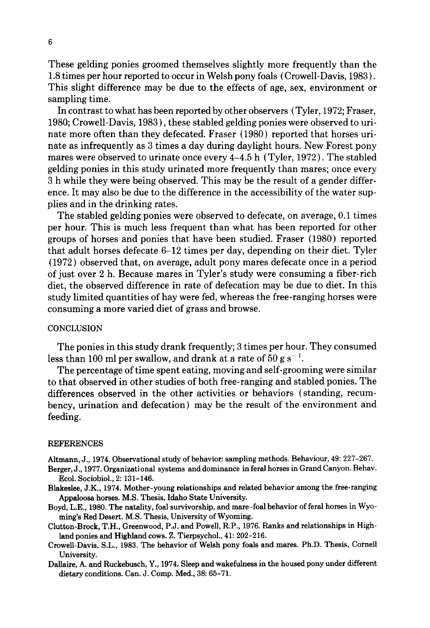These gelding ponies groomed themselves slightly more frequently than the 1.8 times per hour reported to occur in Welsh pony foals ( Crowell-Davis, 1983 ). This slight difference may be due to the effects of age, sex, environment or sampling time.

In contrast to what has been reported by other observers (Tyler, 1972; Fraser, 1980; Crowell-Davis, 1983), these stabled gelding ponies were observed to urinate more often than they defecated. Fraser (1980) reported that horses urinate as infrequently as 3 times a day during daylight hours. New Forest pony mares were observed to urinate once every 4-4.5 h (Tyler, 1972 ). The stabled gelding ponies in this study urinated more frequently than mares; once every 3 h while they were being observed. This may be the result of a gender difference. It may also be due to the difference in the accessibility of the water supplies and in the drinking rates.

The stabled gelding ponies were observed to defecate, on average, 0.1 times per hour. This is much less frequent than what has been reported for other groups of horses and ponies that have been studied. Fraser (1980) reported that adult horses defecate 6-12 times per day, depending on their diet. Tyler (1972) observed that, on average, adult pony mares defecate once in a period of just over 2 h. Because mares in Tyler's study were consuming a fiber-rich diet, the observed difference in rate of defecation may be due to diet. In this study limited quantities of hay were fed, whereas the free-ranging horses were consuming a more varied diet of grass and browse.

### **CONCLUSION**

The ponies in this study drank frequently; 3 times per hour. They consumed less than 100 ml per swallow, and drank at a rate of 50 g s<sup>-1</sup>.

The percentage of time spent eating, moving and self-grooming were similar to that observed in other studies of both free-ranging and stabled ponies. The differences observed in the other activities or behaviors (standing, recumbency, urination and defecation ) may be the result of the environment and feeding.

#### REFERENCES

- **Altmann,** J., 1974. Observational study of behavior: **sampling methods.** Behaviour, 49: 227-267.
- **Berger,** J., 1977. Organizational **systems and dominance in feral horses in Grand** Canyon. Behav. Ecol. Sociobiol., 2: 131-146.
- Blakeslee, J.K., 1974. **Mother-young relationships and related behavior among the free-ranging**  Appaloosa horses. M.S. **Thesis, Idaho** State University.
- Boyd, L.E., 1980. **The natality, foal survivorship, and mare-foal** behavior of feral horses in Wyoming's **Red Desert. M.S. Thesis, University of Wyoming.**
- Clutton-Brock, T.H., Greenwood, P.J. and Powell, R.P., 1976. Ranks and relationships in Highland **ponies and Highland cows.** Z. Tierpsychol., 41: 202-216.
- Crowell-Davis, S.L., 1983. The behavior of **Welsh pony foals and mares. Ph.D. Thesis,** Cornell **University.**
- **Dallaire, A. and Ruckebusch, Y., 1974. Sleep and wakefulness in the housed pony under different**  dietary conditions. Can. J. Comp. Med., 38: 65-71.